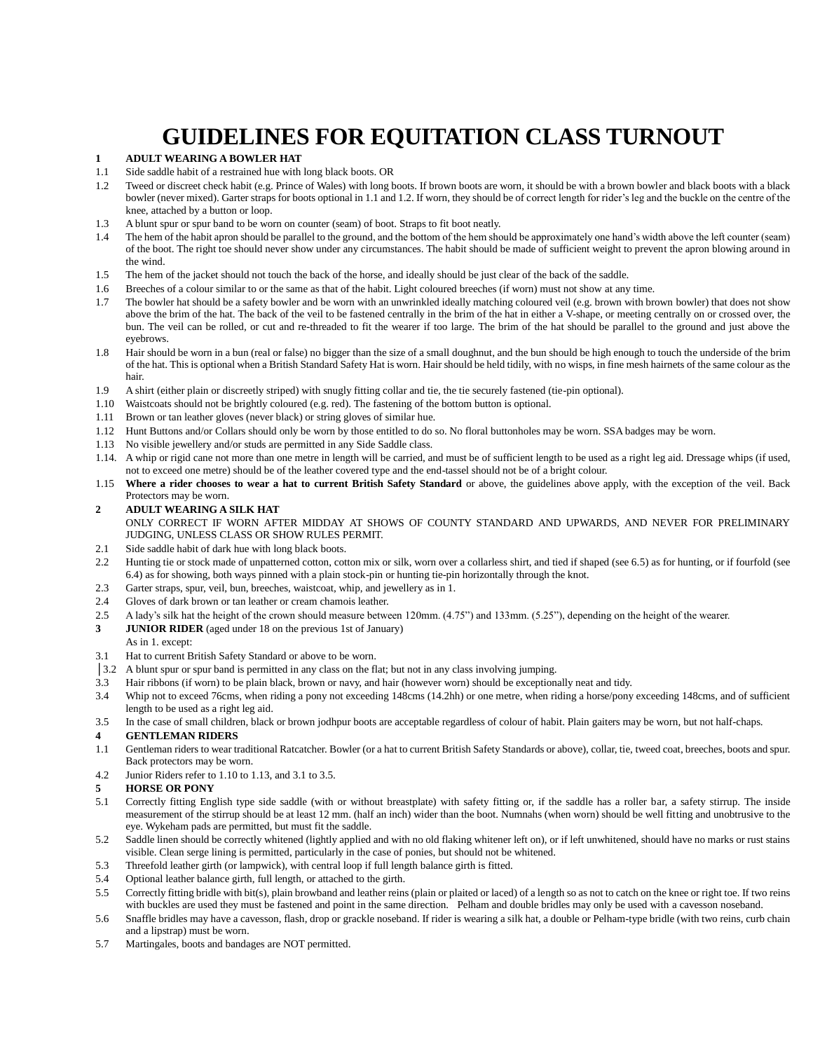# **GUIDELINES FOR EQUITATION CLASS TURNOUT**

### **1 ADULT WEARING A BOWLER HAT**

- 1.1 Side saddle habit of a restrained hue with long black boots. OR
- 1.2 Tweed or discreet check habit (e.g. Prince of Wales) with long boots. If brown boots are worn, it should be with a brown bowler and black boots with a black bowler (never mixed). Garter straps for boots optional in 1.1 and 1.2. If worn, they should be of correct length for rider's leg and the buckle on the centre of the knee, attached by a button or loop.
- 1.3 A blunt spur or spur band to be worn on counter (seam) of boot. Straps to fit boot neatly.
- 1.4 The hem of the habit apron should be parallel to the ground, and the bottom of the hem should be approximately one hand's width above the left counter (seam) of the boot. The right toe should never show under any circumstances. The habit should be made of sufficient weight to prevent the apron blowing around in the wind.
- 1.5 The hem of the jacket should not touch the back of the horse, and ideally should be just clear of the back of the saddle.
- 1.6 Breeches of a colour similar to or the same as that of the habit. Light coloured breeches (if worn) must not show at any time.
- 1.7 The bowler hat should be a safety bowler and be worn with an unwrinkled ideally matching coloured veil (e.g. brown with brown bowler) that does not show above the brim of the hat. The back of the veil to be fastened centrally in the brim of the hat in either a V-shape, or meeting centrally on or crossed over, the bun. The veil can be rolled, or cut and re-threaded to fit the wearer if too large. The brim of the hat should be parallel to the ground and just above the eyebrows.
- 1.8 Hair should be worn in a bun (real or false) no bigger than the size of a small doughnut, and the bun should be high enough to touch the underside of the brim of the hat. This is optional when a British Standard Safety Hat is worn. Hair should be held tidily, with no wisps, in fine mesh hairnets of the same colour as the hair.
- 1.9 A shirt (either plain or discreetly striped) with snugly fitting collar and tie, the tie securely fastened (tie-pin optional).
- 1.10 Waistcoats should not be brightly coloured (e.g. red). The fastening of the bottom button is optional.
- 1.11 Brown or tan leather gloves (never black) or string gloves of similar hue.
- 1.12 Hunt Buttons and/or Collars should only be worn by those entitled to do so. No floral buttonholes may be worn. SSA badges may be worn.
- 1.13 No visible jewellery and/or studs are permitted in any Side Saddle class.
- 1.14. A whip or rigid cane not more than one metre in length will be carried, and must be of sufficient length to be used as a right leg aid. Dressage whips (if used, not to exceed one metre) should be of the leather covered type and the end-tassel should not be of a bright colour.
- 1.15 **Where a rider chooses to wear a hat to current British Safety Standard** or above, the guidelines above apply, with the exception of the veil. Back Protectors may be worn.

#### **2 ADULT WEARING A SILK HAT**

ONLY CORRECT IF WORN AFTER MIDDAY AT SHOWS OF COUNTY STANDARD AND UPWARDS, AND NEVER FOR PRELIMINARY JUDGING, UNLESS CLASS OR SHOW RULES PERMIT.

- 2.1 Side saddle habit of dark hue with long black boots.
- 2.2 Hunting tie or stock made of unpatterned cotton, cotton mix or silk, worn over a collarless shirt, and tied if shaped (see 6.5) as for hunting, or if fourfold (see 6.4) as for showing, both ways pinned with a plain stock-pin or hunting tie-pin horizontally through the knot.
- 2.3 Garter straps, spur, veil, bun, breeches, waistcoat, whip, and jewellery as in 1.
- 2.4 Gloves of dark brown or tan leather or cream chamois leather.
- 2.5 A lady's silk hat the height of the crown should measure between 120mm. (4.75") and 133mm. (5.25"), depending on the height of the wearer.
- **3 JUNIOR RIDER** (aged under 18 on the previous 1st of January)
- As in 1. except: 3.1 Hat to current British Safety Standard or above to be worn.
- 
- **│**3.2 A blunt spur or spur band is permitted in any class on the flat; but not in any class involving jumping.
- 3.3 Hair ribbons (if worn) to be plain black, brown or navy, and hair (however worn) should be exceptionally neat and tidy.
- 3.4 Whip not to exceed 76cms, when riding a pony not exceeding 148cms (14.2hh) or one metre, when riding a horse/pony exceeding 148cms, and of sufficient length to be used as a right leg aid.
- 3.5 In the case of small children, black or brown jodhpur boots are acceptable regardless of colour of habit. Plain gaiters may be worn, but not half-chaps.

#### **4 GENTLEMAN RIDERS**

- 1.1 Gentleman riders to wear traditional Ratcatcher. Bowler (or a hat to current British Safety Standards or above), collar, tie, tweed coat, breeches, boots and spur. Back protectors may be worn.
- 4.2 Junior Riders refer to 1.10 to 1.13, and 3.1 to 3.5.

#### **5 HORSE OR PONY**

- 5.1 Correctly fitting English type side saddle (with or without breastplate) with safety fitting or, if the saddle has a roller bar, a safety stirrup. The inside measurement of the stirrup should be at least 12 mm. (half an inch) wider than the boot. Numnahs (when worn) should be well fitting and unobtrusive to the eye. Wykeham pads are permitted, but must fit the saddle.
- 5.2 Saddle linen should be correctly whitened (lightly applied and with no old flaking whitener left on), or if left unwhitened, should have no marks or rust stains visible. Clean serge lining is permitted, particularly in the case of ponies, but should not be whitened.
- 5.3 Threefold leather girth (or lampwick), with central loop if full length balance girth is fitted.
- 5.4 Optional leather balance girth, full length, or attached to the girth.
- 5.5 Correctly fitting bridle with bit(s), plain browband and leather reins (plain or plaited or laced) of a length so as not to catch on the knee or right toe. If two reins with buckles are used they must be fastened and point in the same direction. Pelham and double bridles may only be used with a cavesson noseband.
- 5.6 Snaffle bridles may have a cavesson, flash, drop or grackle noseband. If rider is wearing a silk hat, a double or Pelham-type bridle (with two reins, curb chain and a lipstrap) must be worn.
- 5.7 Martingales, boots and bandages are NOT permitted.